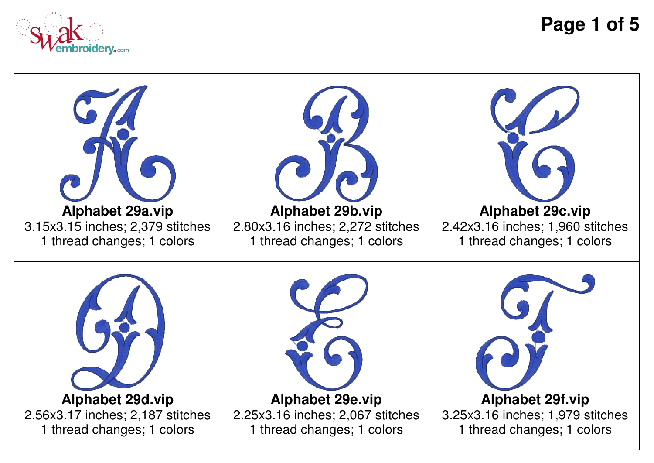

**Page 1 of 5**

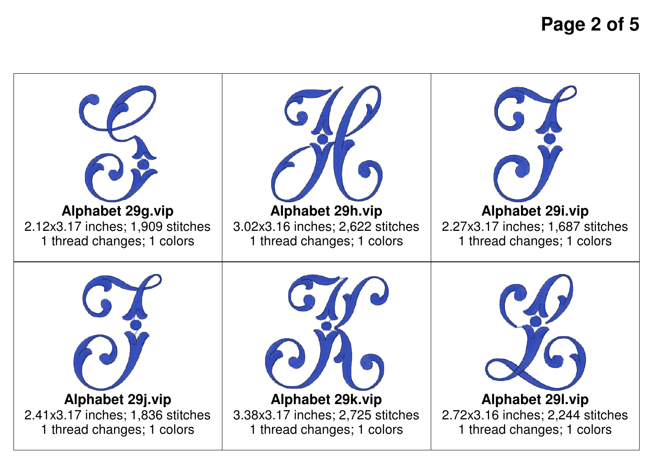**Page 2 of 5**

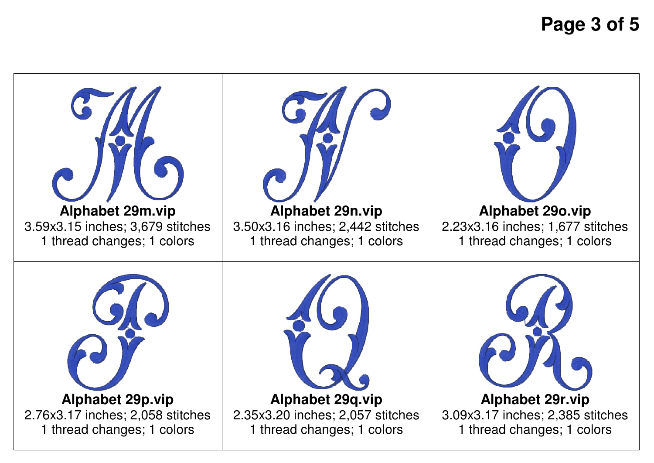**Page 3 of 5**

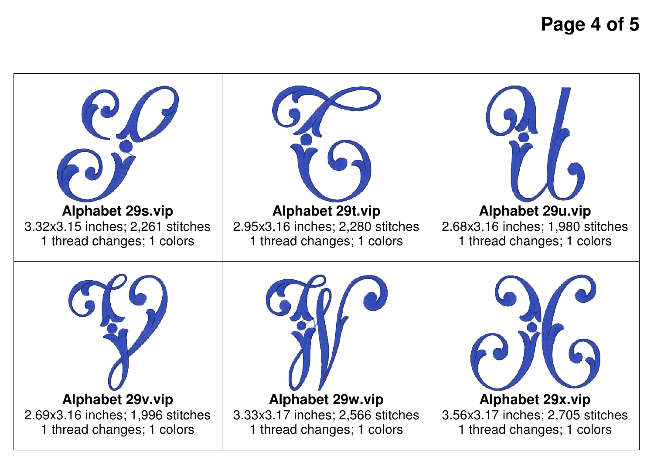**Page 4 of 5**